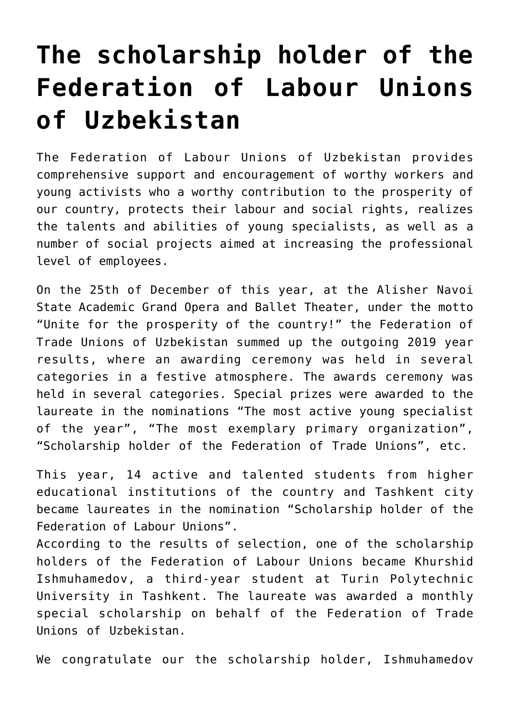## **[The scholarship holder of the](https://polito.uz/6022/) [Federation of Labour Unions](https://polito.uz/6022/) [of Uzbekistan](https://polito.uz/6022/)**

The Federation of Labour Unions of Uzbekistan provides comprehensive support and encouragement of worthy workers and young activists who a worthy contribution to the prosperity of our country, protects their labour and social rights, realizes the talents and abilities of young specialists, as well as a number of social projects aimed at increasing the professional level of employees.

On the 25th of December of this year, at the Alisher Navoi State Academic Grand Opera and Ballet Theater, under the motto "Unite for the prosperity of the country!" the Federation of Trade Unions of Uzbekistan summed up the outgoing 2019 year results, where an awarding ceremony was held in several categories in a festive atmosphere. The awards ceremony was held in several categories. Special prizes were awarded to the laureate in the nominations "The most active young specialist of the year", "The most exemplary primary organization", "Scholarship holder of the Federation of Trade Unions", etc.

This year, 14 active and talented students from higher educational institutions of the country and Tashkent city became laureates in the nomination "Scholarship holder of the Federation of Labour Unions".

According to the results of selection, one of the scholarship holders of the Federation of Labour Unions became Khurshid Ishmuhamedov, a third-year student at Turin Polytechnic University in Tashkent. The laureate was awarded a monthly special scholarship on behalf of the Federation of Trade Unions of Uzbekistan.

We congratulate our the scholarship holder, Ishmuhamedov